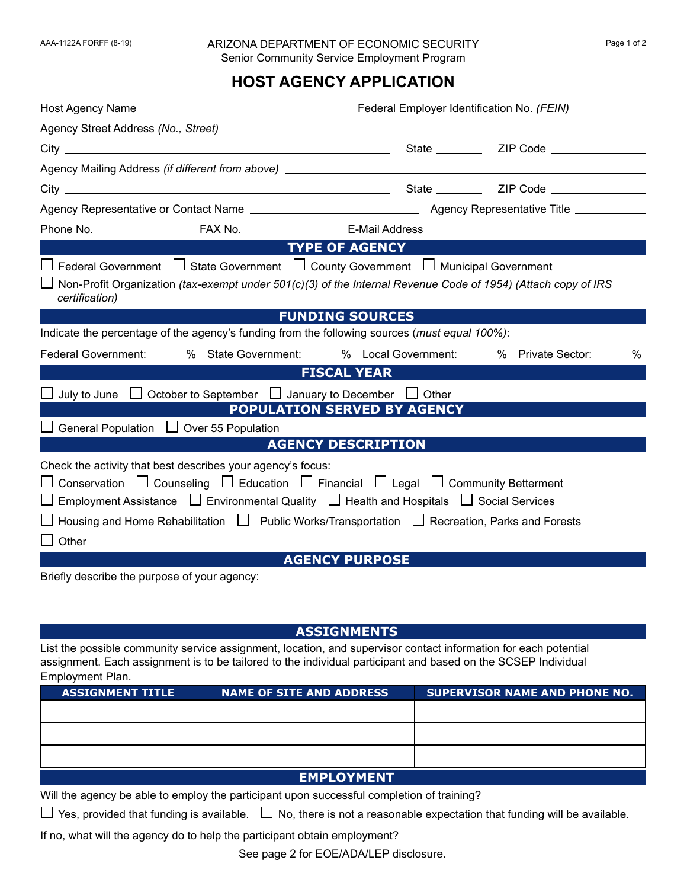## AAA-1122A FORFF (8-19) ARIZONA DEPARTMENT OF ECONOMIC SECURITY Page 1 of 2 Senior Community Service Employment Program

## **HOST AGENCY APPLICATION**

|                                                                                                                                                                                                                                                                                                                                                                                                    | <b>Example OF AGENCY</b>  |  |                                                                                                       |  |
|----------------------------------------------------------------------------------------------------------------------------------------------------------------------------------------------------------------------------------------------------------------------------------------------------------------------------------------------------------------------------------------------------|---------------------------|--|-------------------------------------------------------------------------------------------------------|--|
| $\Box$ Federal Government $\Box$ State Government $\Box$ County Government $\Box$ Municipal Government                                                                                                                                                                                                                                                                                             |                           |  |                                                                                                       |  |
| □ Non-Profit Organization (tax-exempt under 501(c)(3) of the Internal Revenue Code of 1954) (Attach copy of IRS<br>certification)                                                                                                                                                                                                                                                                  |                           |  |                                                                                                       |  |
|                                                                                                                                                                                                                                                                                                                                                                                                    | <b>FUNDING SOURCES</b>    |  |                                                                                                       |  |
| Indicate the percentage of the agency's funding from the following sources (must equal 100%):                                                                                                                                                                                                                                                                                                      |                           |  |                                                                                                       |  |
|                                                                                                                                                                                                                                                                                                                                                                                                    |                           |  | Federal Government: _____ % State Government: _____ % Local Government: ____ % Private Sector: ____ % |  |
|                                                                                                                                                                                                                                                                                                                                                                                                    | <b>FISCAL YEAR FISCAL</b> |  |                                                                                                       |  |
| $\Box$ July to June $\Box$ October to September $\Box$ January to December $\Box$ Other $\Box$                                                                                                                                                                                                                                                                                                     |                           |  |                                                                                                       |  |
| <b>POPULATION SERVED BY AGENCY</b>                                                                                                                                                                                                                                                                                                                                                                 |                           |  |                                                                                                       |  |
| $\Box$ General Population $\Box$ Over 55 Population                                                                                                                                                                                                                                                                                                                                                |                           |  |                                                                                                       |  |
| <b>Service Service</b>                                                                                                                                                                                                                                                                                                                                                                             | <b>AGENCY DESCRIPTION</b> |  |                                                                                                       |  |
| Check the activity that best describes your agency's focus:<br>$\Box$ Conservation $\Box$ Counseling $\Box$ Education $\Box$ Financial $\Box$ Legal $\Box$ Community Betterment<br>$\Box$ Employment Assistance $\Box$ Environmental Quality $\Box$ Health and Hospitals $\Box$ Social Services<br>□ Housing and Home Rehabilitation □ Public Works/Transportation □ Recreation, Parks and Forests |                           |  |                                                                                                       |  |
| $\Box$ Other $\_\_$                                                                                                                                                                                                                                                                                                                                                                                |                           |  |                                                                                                       |  |
|                                                                                                                                                                                                                                                                                                                                                                                                    | <b>AGENCY PURPOSE</b>     |  |                                                                                                       |  |

Briefly describe the purpose of your agency:

## **ASSIGNMENTS**

List the possible community service assignment, location, and supervisor contact information for each potential assignment. Each assignment is to be tailored to the individual participant and based on the SCSEP Individual Employment Plan.

| <b>ASSIGNMENT TITLE</b> | <b>NAME OF SITE AND ADDRESS</b> | <b>SUPERVISOR NAME AND PHONE NO.</b> |  |
|-------------------------|---------------------------------|--------------------------------------|--|
|                         |                                 |                                      |  |
|                         |                                 |                                      |  |
|                         |                                 |                                      |  |
|                         |                                 |                                      |  |
| <b>EMPLOYMENT</b>       |                                 |                                      |  |

Will the agency be able to employ the participant upon successful completion of training?

Yes, provided that funding is available.  $\;\;\Box\;$  No, there is not a reasonable expectation that funding will be available.

If no, what will the agency do to help the participant obtain employment?

See page 2 for EOE/ADA/LEP disclosure.